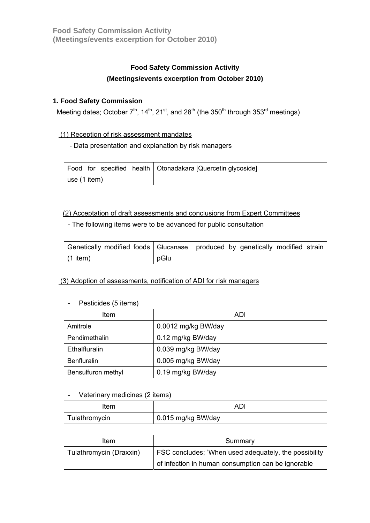# **Food Safety Commission Activity**

# **(Meetings/events excerption from October 2010)**

# **1. Food Safety Commission**

Meeting dates; October  $7<sup>th</sup>$ ,  $14<sup>th</sup>$ ,  $21<sup>st</sup>$ , and  $28<sup>th</sup>$  (the  $350<sup>th</sup>$  through  $353<sup>rd</sup>$  meetings)

# (1) Reception of risk assessment mandates

- Data presentation and explanation by risk managers

|              |  | Food for specified health   Otonadakara [Quercetin glycoside] |
|--------------|--|---------------------------------------------------------------|
| use (1 item) |  |                                                               |

## (2) Acceptation of draft assessments and conclusions from Expert Committees

- The following items were to be advanced for public consultation

| Genetically modified foods   Glucanase  produced by genetically modified strain |      |  |  |  |
|---------------------------------------------------------------------------------|------|--|--|--|
| $(1$ item)                                                                      | pGlu |  |  |  |

# (3) Adoption of assessments, notification of ADI for risk managers

## - Pesticides (5 items)

| ltem               | ADI                 |
|--------------------|---------------------|
| Amitrole           | 0.0012 mg/kg BW/day |
| Pendimethalin      | 0.12 mg/kg BW/day   |
| Ethalfluralin      | 0.039 mg/kg BW/day  |
| <b>Benfluralin</b> | 0.005 mg/kg BW/day  |
| Bensulfuron methyl | 0.19 mg/kg BW/day   |

#### - Veterinary medicines (2 items)

| ltem          | ADI                |
|---------------|--------------------|
| Tulathromycin | 0.015 mg/kg BW/day |

| ltem                    | Summary                                               |
|-------------------------|-------------------------------------------------------|
| Tulathromycin (Draxxin) | FSC concludes; 'When used adequately, the possibility |
|                         | of infection in human consumption can be ignorable    |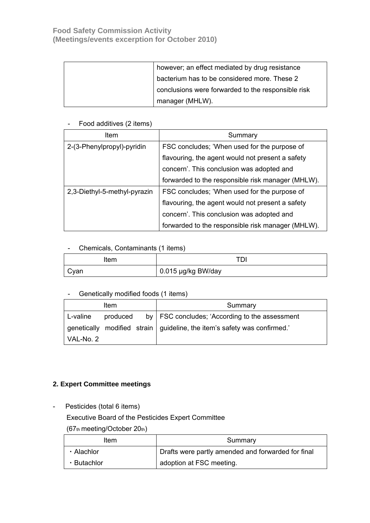| however; an effect mediated by drug resistance     |
|----------------------------------------------------|
| bacterium has to be considered more. These 2       |
| conclusions were forwarded to the responsible risk |
| manager (MHLW).                                    |

## - Food additives (2 items)

| Item                         | Summary                                           |
|------------------------------|---------------------------------------------------|
| 2-(3-Phenylpropyl)-pyridin   | FSC concludes; 'When used for the purpose of      |
|                              | flavouring, the agent would not present a safety  |
|                              | concern'. This conclusion was adopted and         |
|                              | forwarded to the responsible risk manager (MHLW). |
| 2,3-Diethyl-5-methyl-pyrazin | FSC concludes; 'When used for the purpose of      |
|                              | flavouring, the agent would not present a safety  |
|                              | concern'. This conclusion was adopted and         |
|                              | forwarded to the responsible risk manager (MHLW). |

#### - Chemicals, Contaminants (1 items)

| Item |                    |
|------|--------------------|
| Cyan | 0.015 µg/kg BW/day |

## - Genetically modified foods (1 items)

|           | ltem     | Summary                                                                    |
|-----------|----------|----------------------------------------------------------------------------|
| L-valine  | produced | by   FSC concludes; 'According to the assessment                           |
|           |          | genetically modified strain   guideline, the item's safety was confirmed.' |
| VAL-No. 2 |          |                                                                            |

# **2. Expert Committee meetings**

- Pesticides (total 6 items)

Executive Board of the Pesticides Expert Committee

(67th meeting/October 20th)

| ltem              | Summary                                            |
|-------------------|----------------------------------------------------|
| • Alachlor        | Drafts were partly amended and forwarded for final |
| $\cdot$ Butachlor | adoption at FSC meeting.                           |